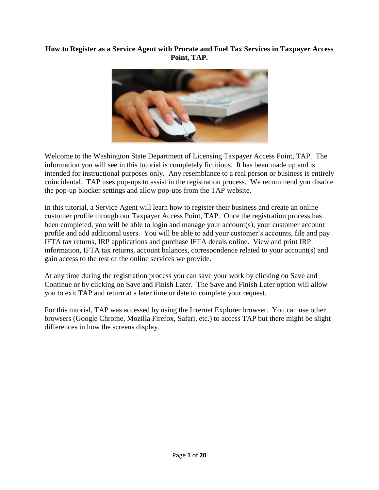## **How to Register as a Service Agent with Prorate and Fuel Tax Services in Taxpayer Access Point, TAP.**



Welcome to the Washington State Department of Licensing Taxpayer Access Point, TAP. The information you will see in this tutorial is completely fictitious. It has been made up and is intended for instructional purposes only. Any resemblance to a real person or business is entirely coincidental. TAP uses pop-ups to assist in the registration process. We recommend you disable the pop-up blocker settings and allow pop-ups from the TAP website.

In this tutorial, a Service Agent will learn how to register their business and create an online customer profile through our Taxpayer Access Point, TAP. Once the registration process has been completed, you will be able to login and manage your account(s), your customer account profile and add additional users. You will be able to add your customer's accounts, file and pay IFTA tax returns, IRP applications and purchase IFTA decals online. View and print IRP information, IFTA tax returns, account balances, correspondence related to your account(s) and gain access to the rest of the online services we provide.

At any time during the registration process you can save your work by clicking on Save and Continue or by clicking on Save and Finish Later. The Save and Finish Later option will allow you to exit TAP and return at a later time or date to complete your request.

For this tutorial, TAP was accessed by using the Internet Explorer browser. You can use other browsers (Google Chrome, Mozilla Firefox, Safari, etc.) to access TAP but there might be slight differences in how the screens display.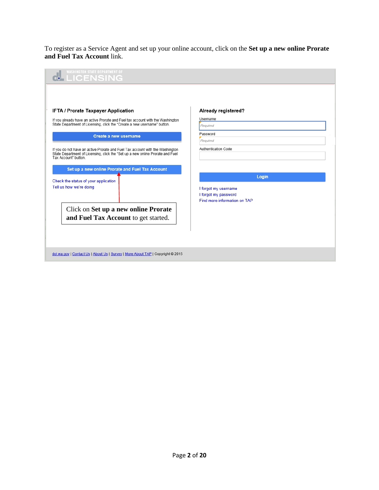To register as a Service Agent and set up your online account, click on the **Set up a new online Prorate and Fuel Tax Account** link.

| <b>WASHINGTON STATE DEPARTMENT OF</b><br><b>LICENSING</b>                                                                                                                               |                                                                                       |
|-----------------------------------------------------------------------------------------------------------------------------------------------------------------------------------------|---------------------------------------------------------------------------------------|
|                                                                                                                                                                                         |                                                                                       |
| IFTA / Prorate Taxpayer Application                                                                                                                                                     | Already registered?                                                                   |
| If you already have an active Prorate and Fuel tax account with the Washington<br>State Department of Licensing, click the "Create a new username" button.                              | Username<br>Required                                                                  |
| Create a new username                                                                                                                                                                   | Password<br>Required                                                                  |
| If you do not have an active Prorate and Fuel Tax account with the Washington<br>State Department of Licensing, click the "Set up a new online Prorate and Fuel<br>Tax Account" button. | Authentication Code                                                                   |
| Set up a new online Prorate and Fuel Tax Account<br>Check the status of your application<br>Tell us how we're doing                                                                     | Login<br>I forgot my username<br>I forgot my password<br>Find more information on TAP |
| Click on Set up a new online Prorate<br>and Fuel Tax Account to get started.                                                                                                            |                                                                                       |
| dol.wa.gov   Contact Us   About Us   Survey   More About TAP   Copyright @ 2015                                                                                                         |                                                                                       |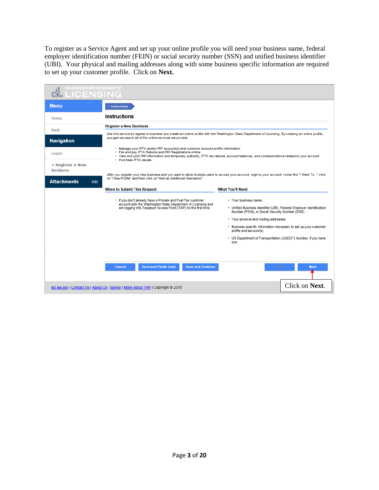To register as a Service Agent and set up your online profile you will need your business name, federal employer identification number (FEIN) or social security number (SSN) and unified business identifier (UBI). Your physical and mailing addresses along with some business specific information are required to set up your customer profile. Click on **Next.**

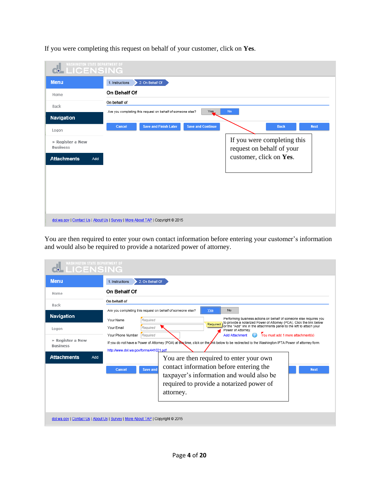| <b>Menu</b>                         | 1. Instructions | 2. On Behalf Of                                            |                          |                                                          |
|-------------------------------------|-----------------|------------------------------------------------------------|--------------------------|----------------------------------------------------------|
| Home                                | On Behalf Of    |                                                            |                          |                                                          |
| Back<br>Navigation                  | On behalf of    | Are you completing this request on behalf of someone else? | Yes                      | <b>No</b>                                                |
| Logon                               | Cancel          | <b>Save and Finish Later</b>                               | <b>Save and Continue</b> | <b>Next</b><br><b>Back</b>                               |
| » Register a New<br><b>Business</b> |                 |                                                            |                          | If you were completing this<br>request on behalf of your |
| <b>Attachments</b><br>Add           |                 |                                                            |                          | customer, click on Yes.                                  |
|                                     |                 |                                                            |                          |                                                          |
|                                     |                 |                                                            |                          |                                                          |
|                                     |                 |                                                            |                          |                                                          |

If you were completing this request on behalf of your customer, click on **Yes**.

You are then required to enter your own contact information before entering your customer's information and would also be required to provide a notarized power of attorney.

| <b>WASHINGTON STATE DEPARTMENT OF</b><br>LICENSING |                                                                                                                                                                                                                                                            |
|----------------------------------------------------|------------------------------------------------------------------------------------------------------------------------------------------------------------------------------------------------------------------------------------------------------------|
| <b>Menu</b>                                        | 2. On Behalf Of<br>1. Instructions                                                                                                                                                                                                                         |
| Home                                               | On Behalf Of                                                                                                                                                                                                                                               |
| Back                                               | On behalf of                                                                                                                                                                                                                                               |
| <b>Navigation</b>                                  | No<br>Are you completing this request on behalf of someone else?<br>Yes<br>Performing business actions on behalf of someone else requires you<br>Required<br>Your Name<br>to provide a notarized Power of Attorney (POA). Click the link below<br>Required |
| Logon                                              | or the "Add" link in the attachments panel to the left to attach your<br>Required<br>Your Email<br>Power of Attorney.<br>You must add 1 more attachment(s)<br><b>Add Attachment</b><br>Your Phone Number                                                   |
| » Register a New<br><b>Business</b>                | Required<br>If you do not have a Power of Attorney (POA) at this time, click on the <i>i</i> nk below to be redirected to the Washington IFTA Power of attorney form.<br>http://www.dol.wa.gov/forms/441021.pdf                                            |
| <b>Attachments</b><br>Add                          | You are then required to enter your own<br>contact information before entering the<br>Save and<br>Cancel<br><b>Next</b><br>taxpayer's information and would also be<br>required to provide a notarized power of<br>attorney.                               |
|                                                    | dol.wa.gov   Contact Us   About Us   Survey   More About TAP   Copyright @ 2015                                                                                                                                                                            |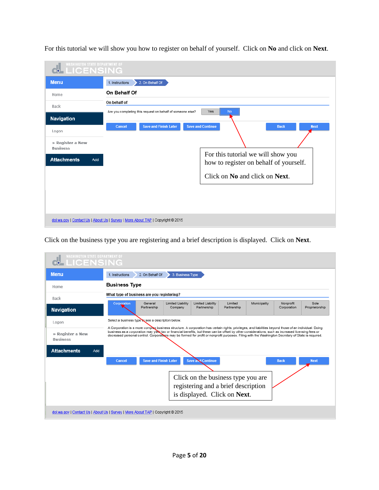| <b>Menu</b>                         | 2. On Behalf Of<br>1. Instructions                                                               |
|-------------------------------------|--------------------------------------------------------------------------------------------------|
| Home                                | On Behalf Of                                                                                     |
| Back                                | On behalf of<br>Yes<br><b>No</b><br>Are you completing this request on behalf of someone else?   |
| Navigation<br>Logon                 | <b>Save and Finish Later</b><br><b>Save and Continue</b><br><b>Next</b><br>Cancel<br><b>Back</b> |
| » Register a New<br><b>Business</b> |                                                                                                  |
| <b>Attachments</b><br>Add           | For this tutorial we will show you<br>how to register on behalf of yourself.                     |
|                                     | Click on No and click on Next.                                                                   |
|                                     |                                                                                                  |
|                                     |                                                                                                  |

For this tutorial we will show you how to register on behalf of yourself. Click on **No** and click on **Next**.

Click on the business type you are registering and a brief description is displayed. Click on **Next**.

| <b>Menu</b>                                                        | 2. On Behalf Of<br>3. Business Type<br>1. Instructions                                                                                                                                                                                                                                                                                                                                                                                                               |  |  |  |  |  |
|--------------------------------------------------------------------|----------------------------------------------------------------------------------------------------------------------------------------------------------------------------------------------------------------------------------------------------------------------------------------------------------------------------------------------------------------------------------------------------------------------------------------------------------------------|--|--|--|--|--|
| Home                                                               | <b>Business Type</b>                                                                                                                                                                                                                                                                                                                                                                                                                                                 |  |  |  |  |  |
| Back                                                               | What type of business are you registering?                                                                                                                                                                                                                                                                                                                                                                                                                           |  |  |  |  |  |
| <b>Navigation</b>                                                  | Municipality<br>Sole<br><b>Limited Liability</b><br><b>Limited Liability</b><br>Limited<br>Nonprofit<br>Corporation<br>General<br>Proprietorship<br>Partnership<br>Company<br>Partnership<br>Partnership<br>Corporation                                                                                                                                                                                                                                              |  |  |  |  |  |
|                                                                    | Select a business type to see a description below.                                                                                                                                                                                                                                                                                                                                                                                                                   |  |  |  |  |  |
|                                                                    |                                                                                                                                                                                                                                                                                                                                                                                                                                                                      |  |  |  |  |  |
|                                                                    | A Corporation is a more complex business structure. A corporation has certain rights, privileges, and liabilities beyond those of an individual. Doing<br>business as a corporation may yield tax or financial benefits, but these can be offset by other considerations, such as increased licensing fees or<br>decreased personal control. Corporations may be formed for profit or nonprofit purposes. Filing with the Washington Secretary of State is required. |  |  |  |  |  |
| Add                                                                |                                                                                                                                                                                                                                                                                                                                                                                                                                                                      |  |  |  |  |  |
| Logon<br>» Register a New<br><b>Business</b><br><b>Attachments</b> | <b>Save and Continue</b><br><b>Save and Finish Later</b><br>Cancel<br><b>Back</b><br><b>Next</b>                                                                                                                                                                                                                                                                                                                                                                     |  |  |  |  |  |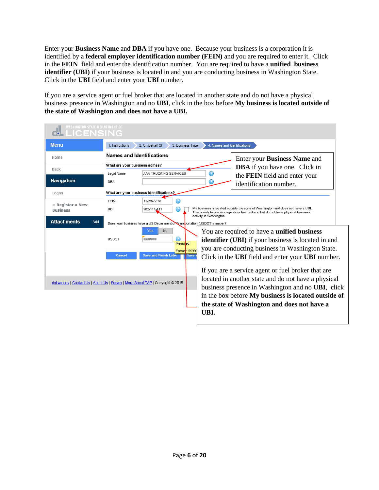Enter your **Business Name** and **DBA** if you have one. Because your business is a corporation it is identified by a **federal employer identification number (FEIN)** and you are required to enter it. Click in the **FEIN** field and enter the identification number. You are required to have a **unified business identifier (UBI)** if your business is located in and you are conducting business in Washington State. Click in the **UBI** field and enter your **UBI** number.

If you are a service agent or fuel broker that are located in another state and do not have a physical business presence in Washington and no **UBI**, click in the box before **My business is located outside of the state of Washington and does not have a UBI.**

| <b>Menu</b>                         | 2. On Behalf Of<br>3. Business Type<br>1. Instructions                                                                                                                                                                                                                                      | 4. Names and Identifications                                                                                                                                                                                                                                                                                                                                                                                                                                     |
|-------------------------------------|---------------------------------------------------------------------------------------------------------------------------------------------------------------------------------------------------------------------------------------------------------------------------------------------|------------------------------------------------------------------------------------------------------------------------------------------------------------------------------------------------------------------------------------------------------------------------------------------------------------------------------------------------------------------------------------------------------------------------------------------------------------------|
| Home                                | Names and Identifications                                                                                                                                                                                                                                                                   | Enter your <b>Business Name</b> and                                                                                                                                                                                                                                                                                                                                                                                                                              |
| Back                                | What are your business names?<br>AAA TRUCKING SERVICES<br>Legal Name                                                                                                                                                                                                                        | <b>DBA</b> if you have one. Click in<br>the FEIN field and enter your                                                                                                                                                                                                                                                                                                                                                                                            |
| Navigation                          | DBA                                                                                                                                                                                                                                                                                         | 7<br>identification number.                                                                                                                                                                                                                                                                                                                                                                                                                                      |
| Logon                               | What are your business identifications?                                                                                                                                                                                                                                                     |                                                                                                                                                                                                                                                                                                                                                                                                                                                                  |
| » Register a New<br><b>Business</b> | 11-2345678<br><b>FEIN</b><br>UBI<br>902-111-111                                                                                                                                                                                                                                             | My business is located outside the state of Washington and does not have a UBI.<br>This is only for service agents or fuel brokers that do not have physical business<br>activity in Washington.                                                                                                                                                                                                                                                                 |
| <b>Attachments</b><br>Add           | Does your business have a US Department on Transportation (USDOT) number?<br>No<br>Yes<br><b>USDOT</b><br>********<br>Required<br>Format: 99999<br><b>Save and Finish Later</b><br><b>Cancel</b><br>save<br>dol.wa.gov   Contact Us   About Us   Survey   More About TAP   Copyright @ 2015 | You are required to have a <b>unified business</b><br><b>identifier</b> (UBI) if your business is located in and<br>you are conducting business in Washington State.<br>Click in the <b>UBI</b> field and enter your <b>UBI</b> number.<br>If you are a service agent or fuel broker that are<br>located in another state and do not have a physical<br>business presence in Washington and no UBI, click<br>in the box before My business is located outside of |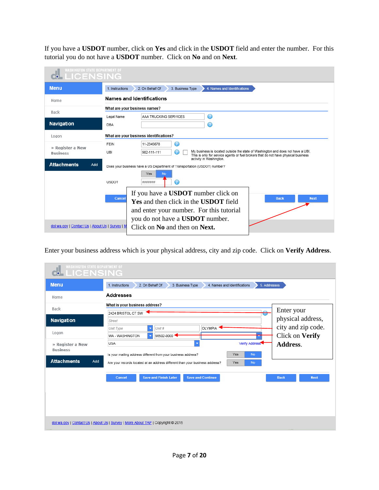If you have a **USDOT** number, click on **Yes** and click in the **USDOT** field and enter the number. For this tutorial you do not have a **USDOT** number. Click on **No** and on **Next**.

| <b>WASHINGTON STATE DEPARTMENT OF</b><br><b>LICENSING</b>                                                                                                                                                                                                                                                    |                                                                                                                                                                                                                        |  |  |  |  |
|--------------------------------------------------------------------------------------------------------------------------------------------------------------------------------------------------------------------------------------------------------------------------------------------------------------|------------------------------------------------------------------------------------------------------------------------------------------------------------------------------------------------------------------------|--|--|--|--|
| <b>Menu</b>                                                                                                                                                                                                                                                                                                  | 1. Instructions<br>2. On Behalf Of<br>3. Business Type<br>4. Names and Identifications                                                                                                                                 |  |  |  |  |
| Home                                                                                                                                                                                                                                                                                                         | <b>Names and Identifications</b>                                                                                                                                                                                       |  |  |  |  |
|                                                                                                                                                                                                                                                                                                              | What are your business names?                                                                                                                                                                                          |  |  |  |  |
| Back                                                                                                                                                                                                                                                                                                         | ⋒<br>AAA TRUCKING SERVICES<br>Legal Name                                                                                                                                                                               |  |  |  |  |
| <b>Navigation</b>                                                                                                                                                                                                                                                                                            | $\circ$<br><b>DBA</b>                                                                                                                                                                                                  |  |  |  |  |
| Logon                                                                                                                                                                                                                                                                                                        | What are your business identifications?                                                                                                                                                                                |  |  |  |  |
| » Register a New                                                                                                                                                                                                                                                                                             | ⋒<br><b>FEIN</b><br>11-2345678                                                                                                                                                                                         |  |  |  |  |
| <b>Business</b>                                                                                                                                                                                                                                                                                              | My business is located outside the state of Washington and does not have a UBI.<br>902-111-111<br>UBI<br>This is only for service agents or fuel brokers that do not have physical business<br>activity in Washington. |  |  |  |  |
| <b>Attachments</b><br>Add                                                                                                                                                                                                                                                                                    | Does your business have a US Department of Transportation (USDOT) number?                                                                                                                                              |  |  |  |  |
|                                                                                                                                                                                                                                                                                                              | Yes<br>No.<br><b>USDOT</b><br>********                                                                                                                                                                                 |  |  |  |  |
| If you have a <b>USDOT</b> number click on<br>Cancel<br><b>Back</b><br><b>Next</b><br><b>Yes and then click in the USDOT field</b><br>and enter your number. For this tutorial<br>you do not have a <b>USDOT</b> number.<br>dol.wa.gov   Contact Us   About Us   Survey   M<br>Click on No and then on Next. |                                                                                                                                                                                                                        |  |  |  |  |

Enter your business address which is your physical address, city and zip code. Click on **Verify Address**.

| <b>WASHINGTON STATE DEPARTMENT OF</b><br><b>M</b> LICENSING |                                                                                                  |                                  |  |  |
|-------------------------------------------------------------|--------------------------------------------------------------------------------------------------|----------------------------------|--|--|
| <b>Menu</b>                                                 | 1. Instructions<br>2. On Behalf Of<br>4. Names and Identifications<br>3. Business Type           | 5. Addresses                     |  |  |
| Home                                                        | <b>Addresses</b>                                                                                 |                                  |  |  |
| Back                                                        | What is your business address?                                                                   |                                  |  |  |
|                                                             | 2424 BRISTOL CT SW                                                                               | Enter your<br>$\curvearrowright$ |  |  |
| <b>Navigation</b>                                           | Street                                                                                           | physical address,                |  |  |
|                                                             | OLYMPIA <sup>4</sup><br>Unit #<br>Unit Type                                                      | city and zip code.               |  |  |
| Logon                                                       | 98502-0000<br>WA - WASHINGTON                                                                    | Click on Verify                  |  |  |
| » Register a New                                            | <b>USA</b><br>$\overline{\mathbf{v}}$<br>Verify Address                                          | Address.                         |  |  |
| <b>Business</b>                                             | Yes<br><b>No</b><br>Is your mailing address different from your business address?                |                                  |  |  |
| <b>Attachments</b><br>Add                                   | Yes<br>Are your records located at an address different than your business address?<br><b>No</b> |                                  |  |  |
|                                                             | <b>Save and Finish Later</b><br><b>Save and Continue</b><br>Cancel                               | <b>Back</b><br><b>Next</b>       |  |  |
|                                                             |                                                                                                  |                                  |  |  |
|                                                             |                                                                                                  |                                  |  |  |
|                                                             |                                                                                                  |                                  |  |  |
|                                                             |                                                                                                  |                                  |  |  |
|                                                             | dol.wa.gov   Contact Us   About Us   Survey   More About TAP   Copyright @ 2015                  |                                  |  |  |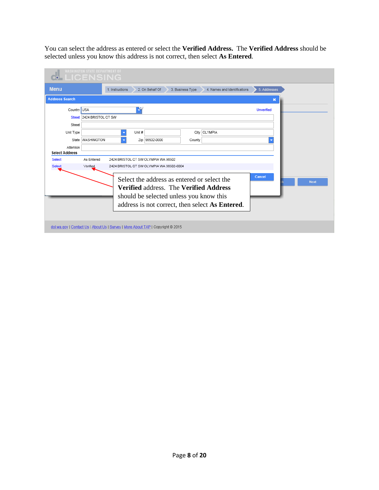You can select the address as entered or select the **Verified Address.** The **Verified Address** should be selected unless you know this address is not correct, then select **As Entered**.

|                                    | <b>WASHINGTON STATE DEPARTMENT OF</b><br><b>LICENSING</b> |                          |        |                                                                                 |                  |                                                 |                   |             |
|------------------------------------|-----------------------------------------------------------|--------------------------|--------|---------------------------------------------------------------------------------|------------------|-------------------------------------------------|-------------------|-------------|
| <b>Menu</b>                        |                                                           | 1. Instructions          |        | 2. On Behalf Of                                                                 | 3. Business Type | 4. Names and Identifications                    | 5. Addresses      |             |
| <b>Address Search</b>              |                                                           |                          |        |                                                                                 |                  |                                                 | ×                 |             |
| Country USA                        |                                                           |                          | ¥      |                                                                                 |                  |                                                 | <b>Unverified</b> |             |
|                                    | Street 2424 BRISTOL CT SW                                 |                          |        |                                                                                 |                  |                                                 |                   |             |
| Street                             |                                                           |                          |        |                                                                                 |                  |                                                 |                   |             |
| Unit Type                          |                                                           | ٠                        | Unit # |                                                                                 |                  | City OLYMPIA                                    |                   |             |
|                                    | State WASHINGTON                                          | $\overline{\phantom{a}}$ |        | Zip 98502-0000                                                                  | County           |                                                 |                   |             |
| Attention<br><b>Select Address</b> |                                                           |                          |        |                                                                                 |                  |                                                 |                   |             |
| Select                             | As Entered                                                |                          |        | 2424 BRISTOL CT SW OLYMPIA WA 98502                                             |                  |                                                 |                   |             |
| <b>Select</b>                      | Verified                                                  |                          |        | 2424 BRISTOL CT SW OLYMPIA WA 98502-6004                                        |                  |                                                 |                   |             |
|                                    |                                                           |                          |        | Select the address as entered or select the                                     |                  |                                                 | Cancel            | <b>Next</b> |
|                                    |                                                           |                          |        | <b>Verified address. The Verified Address</b>                                   |                  |                                                 |                   |             |
|                                    |                                                           |                          |        | should be selected unless you know this                                         |                  |                                                 |                   |             |
|                                    |                                                           |                          |        |                                                                                 |                  | address is not correct, then select As Entered. |                   |             |
|                                    |                                                           |                          |        |                                                                                 |                  |                                                 |                   |             |
|                                    |                                                           |                          |        |                                                                                 |                  |                                                 |                   |             |
|                                    |                                                           |                          |        | dol.wa.gov   Contact Us   About Us   Survey   More About TAP   Copyright @ 2015 |                  |                                                 |                   |             |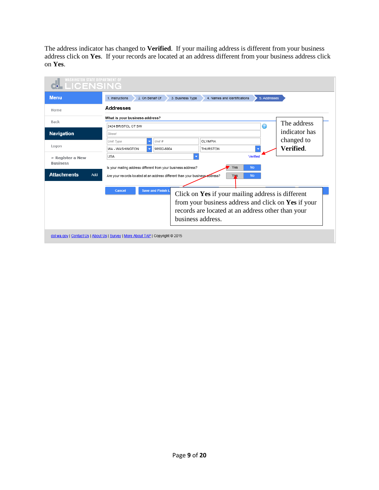The address indicator has changed to **Verified**. If your mailing address is different from your business address click on **Yes**. If your records are located at an address different from your business address click on **Yes**.

| <b>Menu</b>                                       | 1. Instructions                                     | 2. On Behalf Of<br>3. Business Type                                          | 4. Names and Identifications | 5. Addresses |               |  |  |
|---------------------------------------------------|-----------------------------------------------------|------------------------------------------------------------------------------|------------------------------|--------------|---------------|--|--|
| Home                                              | Addresses                                           |                                                                              |                              |              |               |  |  |
|                                                   |                                                     | What is your business address?                                               |                              |              |               |  |  |
| Back                                              | 2424 BRISTOL CT SW                                  |                                                                              |                              | ⋒            | The address   |  |  |
| <b>Navigation</b>                                 | Street                                              |                                                                              |                              |              | indicator has |  |  |
|                                                   | Unit Type                                           | Unit #                                                                       | <b>OLYMPIA</b>               |              | changed to    |  |  |
| Logon                                             | WA - WASHINGTON                                     | 98502-6004                                                                   | <b>THURSTON</b>              |              | Verified.     |  |  |
| » Register a New                                  | USA                                                 |                                                                              |                              | Verified     |               |  |  |
| <b>Business</b>                                   |                                                     | Is your mailing address different from your business address?                | Yes                          | <b>No</b>    |               |  |  |
| <b>Attachments</b><br>Add                         |                                                     | Are your records located at an address different than your business address? | Yas                          | <b>No</b>    |               |  |  |
|                                                   | Cancel                                              | <b>Save and Finish L</b>                                                     |                              |              |               |  |  |
| Click on Yes if your mailing address is different |                                                     |                                                                              |                              |              |               |  |  |
|                                                   | from your business address and click on Yes if your |                                                                              |                              |              |               |  |  |
|                                                   |                                                     | records are located at an address other than your                            |                              |              |               |  |  |
|                                                   |                                                     |                                                                              | business address.            |              |               |  |  |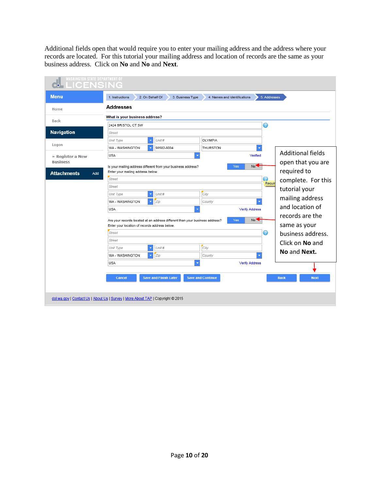Additional fields open that would require you to enter your mailing address and the address where your records are located. For this tutorial your mailing address and location of records are the same as your business address. Click on **No** and **No** and **Next**.

| <b>Menu</b>               | 2. On Behalf Of<br>1. Instructions                                           | 3. Business Type             | 4. Names and Identifications | 5. Addresses           |                            |
|---------------------------|------------------------------------------------------------------------------|------------------------------|------------------------------|------------------------|----------------------------|
| Home                      | <b>Addresses</b>                                                             |                              |                              |                        |                            |
| Back                      | What is your business address?                                               |                              |                              |                        |                            |
|                           | Ø<br>2424 BRISTOL CT SW                                                      |                              |                              |                        |                            |
| Navigation                | Street                                                                       |                              |                              |                        |                            |
|                           | Unit Type                                                                    | Unit #                       | OLYMPIA                      |                        |                            |
| Logon                     | WA - WASHINGTON<br>۰                                                         | 98502-6004                   | THURSTON                     |                        |                            |
| » Register a New          | <b>USA</b>                                                                   |                              |                              | Verified               | <b>Additional fields</b>   |
| <b>Business</b>           | Is your mailing address different from your business address?                |                              |                              | No <sup>-</sup><br>Yes | open that you are          |
| <b>Attachments</b><br>Add | Enter your mailing address below.                                            |                              |                              |                        | required to                |
|                           | Street                                                                       |                              |                              | ⋒                      | complete. For this         |
|                           | Street                                                                       |                              |                              | Requir                 | tutorial your              |
|                           | Unit Type<br>$\overline{\mathbf{v}}$                                         | Unit #                       | City                         |                        |                            |
|                           | WA - WASHINGTON<br>$\blacktriangledown$                                      | Zip                          | County                       |                        | mailing address            |
|                           | <b>USA</b>                                                                   |                              | ٠                            | <b>Verify Address</b>  | and location of            |
|                           | Are your records located at an address different than your business address? |                              |                              | No<<br>Yes             | records are the            |
|                           | Enter your location of records address below.                                |                              |                              |                        | same as your               |
|                           | Street                                                                       |                              |                              | ⋒                      | business address.          |
|                           | Street                                                                       |                              |                              |                        | Click on No and            |
|                           | Unit Type<br>$\overline{\mathbf{v}}$                                         | Unit #                       | City                         |                        | No and Next.               |
|                           | WA - WASHINGTON<br>$\blacktriangledown$                                      | Zip                          | County                       |                        |                            |
|                           | <b>USA</b>                                                                   |                              |                              | <b>Verify Address</b>  |                            |
|                           |                                                                              |                              |                              |                        |                            |
|                           | Cancel                                                                       | <b>Save and Finish Later</b> | <b>Save and Continue</b>     |                        | <b>Back</b><br><b>Next</b> |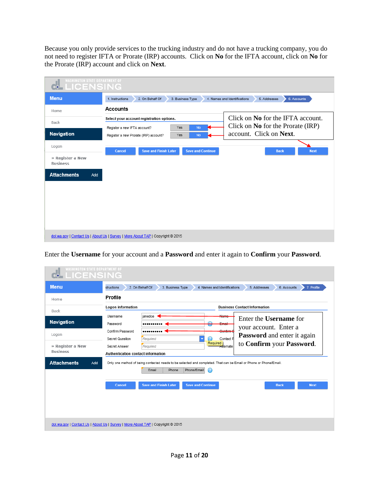Because you only provide services to the trucking industry and do not have a trucking company, you do not need to register IFTA or Prorate (IRP) accounts. Click on **No** for the IFTA account, click on **No** for the Prorate (IRP) account and click on **Next**.

| <b>WASHINGTON STATE DEPARTMENT OF</b><br>ш<br><b>LICENSING</b> |                                                                                               |                                                                        |
|----------------------------------------------------------------|-----------------------------------------------------------------------------------------------|------------------------------------------------------------------------|
| <b>Menu</b>                                                    | 1. Instructions<br>2. On Behalf Of<br>3. Business Type                                        | 6. Accounts<br>4. Names and Identifications<br>5. Addresses            |
| Home                                                           | <b>Accounts</b>                                                                               |                                                                        |
| Back                                                           | Select your account registration options.<br>Yes<br><b>No</b><br>Register a new IFTA account? | Click on No for the IFTA account.<br>Click on No for the Prorate (IRP) |
| <b>Navigation</b>                                              | Yes<br><b>No</b><br>Register a new Prorate (IRP) account?                                     | account. Click on Next.                                                |
| Logon                                                          | <b>Save and Finish Later</b><br><b>Save and Continue</b><br>Cancel                            | <b>Next</b><br><b>Back</b>                                             |
| » Register a New<br><b>Business</b>                            |                                                                                               |                                                                        |
| <b>Attachments</b><br>Add                                      |                                                                                               |                                                                        |
|                                                                |                                                                                               |                                                                        |
|                                                                |                                                                                               |                                                                        |
|                                                                |                                                                                               |                                                                        |
|                                                                |                                                                                               |                                                                        |
|                                                                | dol.wa.gov   Contact Us   About Us   Survey   More About TAP   Copyright @ 2015               |                                                                        |

Enter the **Username** for your account and a **Password** and enter it again to **Confirm** your **Password**.

| <b>WASHINGTON STATE DEPARTMENT OF</b><br><b>LICENSING</b><br>66                 |                                                     |                                                                                                                                                         |                                                                                       |
|---------------------------------------------------------------------------------|-----------------------------------------------------|---------------------------------------------------------------------------------------------------------------------------------------------------------|---------------------------------------------------------------------------------------|
| <b>Menu</b>                                                                     | structions                                          | 2. On Behalf Of<br>3. Business Type                                                                                                                     | 4. Names and Identifications<br>5. Addresses<br>6. Accounts<br>7. Profile             |
| Home                                                                            | Profile                                             |                                                                                                                                                         |                                                                                       |
| Back                                                                            | Logon information                                   |                                                                                                                                                         | <b>Business Contact Information</b>                                                   |
| <b>Navigation</b>                                                               | Username<br>Password                                | ianedoe                                                                                                                                                 | <del>Nam</del><br>Enter the <b>Username</b> for<br>انمسك                              |
| Logon                                                                           | Confirm Password<br>Secret Question                 | วา<br>Required<br>$\overline{\phantom{a}}$                                                                                                              | your account. Enter a<br>Confirm E<br><b>Password</b> and enter it again<br>Contact P |
| » Register a New<br><b>Business</b>                                             | Secret Answer<br>Authentication contact information | Required                                                                                                                                                | Required<br>to Confirm your Password.<br><b>Alternate</b>                             |
| <b>Attachments</b><br>Add                                                       |                                                     | Only one method of being contacted needs to be selected and completed. That can be Email or Phone or Phone/Email.<br>Phone/Email<br>⋒<br>Email<br>Phone |                                                                                       |
|                                                                                 | Cancel                                              | <b>Save and Finish Later</b><br><b>Save and Continue</b>                                                                                                | <b>Back</b><br><b>Next</b>                                                            |
|                                                                                 |                                                     |                                                                                                                                                         |                                                                                       |
| dol.wa.gov   Contact Us   About Us   Survey   More About TAP   Copyright @ 2015 |                                                     |                                                                                                                                                         |                                                                                       |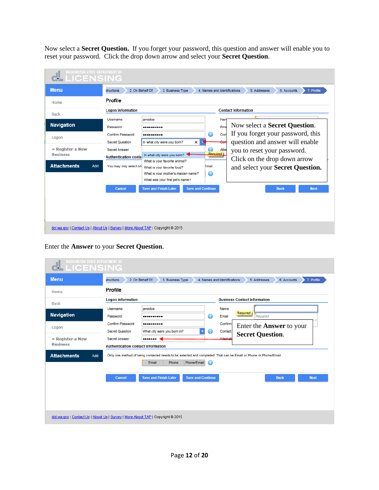Now select a **Secret Question.** If you forget your password, this question and answer will enable you to reset your password. Click the drop down arrow and select your **Secret Question**.

| structions                  |                                                           |                                                                                                    |                                                                                                                                                                                                                         |                                    | 6. Accounts<br>7. Profile<br>5. Addresses       |
|-----------------------------|-----------------------------------------------------------|----------------------------------------------------------------------------------------------------|-------------------------------------------------------------------------------------------------------------------------------------------------------------------------------------------------------------------------|------------------------------------|-------------------------------------------------|
| Profile                     |                                                           |                                                                                                    |                                                                                                                                                                                                                         |                                    |                                                 |
| Logon information           |                                                           |                                                                                                    |                                                                                                                                                                                                                         |                                    | <b>Contact Information</b>                      |
| Username                    | janedoe                                                   |                                                                                                    |                                                                                                                                                                                                                         | Nan                                |                                                 |
| Password                    |                                                           |                                                                                                    |                                                                                                                                                                                                                         | Ema                                | Now select a Secret Question.                   |
| Confirm Password            |                                                           |                                                                                                    | $\odot$                                                                                                                                                                                                                 | Con                                | If you forget your password, this               |
| Secret Question             |                                                           | $\times$                                                                                           |                                                                                                                                                                                                                         |                                    | question and answer will enable                 |
| Secret Answer               |                                                           |                                                                                                    |                                                                                                                                                                                                                         | Alter                              | you to reset your password.                     |
| <b>Authentication conta</b> |                                                           |                                                                                                    |                                                                                                                                                                                                                         |                                    | Click on the drop down arrow                    |
| You may only select on      |                                                           |                                                                                                    |                                                                                                                                                                                                                         |                                    | and select your Secret Question.                |
|                             |                                                           |                                                                                                    | $\bullet$                                                                                                                                                                                                               |                                    |                                                 |
|                             |                                                           |                                                                                                    |                                                                                                                                                                                                                         |                                    |                                                 |
| Cancel                      | <b>Save and Finish Later</b>                              |                                                                                                    |                                                                                                                                                                                                                         |                                    | <b>Next</b><br><b>Back</b>                      |
|                             |                                                           |                                                                                                    |                                                                                                                                                                                                                         |                                    |                                                 |
|                             |                                                           |                                                                                                    |                                                                                                                                                                                                                         |                                    |                                                 |
|                             |                                                           |                                                                                                    |                                                                                                                                                                                                                         |                                    |                                                 |
|                             |                                                           |                                                                                                    |                                                                                                                                                                                                                         |                                    |                                                 |
|                             |                                                           |                                                                                                    |                                                                                                                                                                                                                         |                                    |                                                 |
|                             | <b>WASHINGTON STATE DEPARTMENT OF</b><br><b>LICENSING</b> | 2. On Behalf Of<br>dol.wa.gov   Contact Us   About Us   Survey   More About TAP   Copyright @ 2015 | 3. Business Type<br>In what city were you born?<br>In what city were you born?<br>What is your favorite animal?<br>What is your favorite food?<br>What is your mother's maiden name?<br>What was your first pet's name? | Email.<br><b>Save and Continue</b> | 4. Names and Identifications<br><b>Required</b> |

## Enter the **Answer** to your **Secret Question**.

| <b>WASHINGTON STATE DEPARTMENT OF</b><br>d. LICENSING                           |                                                     |                                     |                          |                                                                                                                   |
|---------------------------------------------------------------------------------|-----------------------------------------------------|-------------------------------------|--------------------------|-------------------------------------------------------------------------------------------------------------------|
| <b>Menu</b>                                                                     | structions                                          | 2. On Behalf Of<br>3. Business Type |                          | 7. Profile<br>4. Names and Identifications<br>5. Addresses<br>6. Accounts                                         |
| Home                                                                            | Profile                                             |                                     |                          |                                                                                                                   |
| Back                                                                            | Logon information                                   |                                     |                          | <b>Business Contact Information</b>                                                                               |
| Navigation                                                                      | Username<br>Password                                | janedoe<br>                         | ⊙                        | Name<br>Required<br>Required<br>Email                                                                             |
| Logon                                                                           | Confirm Password<br>Secret Question                 | <br>What city were you born in?     | $\overline{\phantom{a}}$ | Confirm<br>Enter the <b>Answer</b> to your<br>Contact<br><b>Secret Question.</b>                                  |
| » Register a New<br><b>Business</b>                                             | Secret Answer<br>Authentication contact information |                                     |                          | <b>Alternati</b>                                                                                                  |
| <b>Attachments</b><br>Add                                                       |                                                     | Phone/Email<br>Email<br>Phone       | $\Omega$                 | Only one method of being contacted needs to be selected and completed. That can be Email or Phone or Phone/Email. |
|                                                                                 | Cancel                                              | <b>Save and Finish Later</b>        | <b>Save and Continue</b> | <b>Back</b><br><b>Next</b>                                                                                        |
| dol.wa.gov   Contact Us   About Us   Survey   More About TAP   Copyright @ 2015 |                                                     |                                     |                          |                                                                                                                   |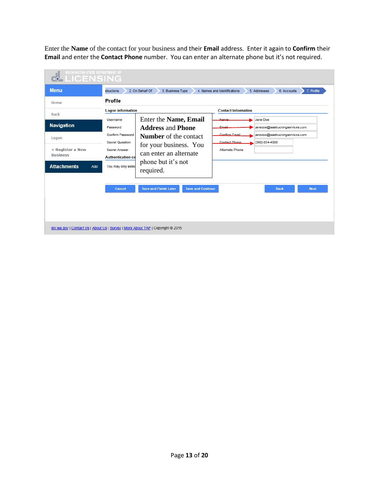Enter the **Name** of the contact for your business and their **Email** address. Enter it again to **Confirm** their **Email** and enter the **Contact Phone** number. You can enter an alternate phone but it's not required.

| <b>WASHINGTON STATE DEPARTMENT OF</b><br><b>LICENSING</b>                                      |                                                                                                                         |                                                                                                                                                                          |                          |                                                                    |                                                                                                  |             |
|------------------------------------------------------------------------------------------------|-------------------------------------------------------------------------------------------------------------------------|--------------------------------------------------------------------------------------------------------------------------------------------------------------------------|--------------------------|--------------------------------------------------------------------|--------------------------------------------------------------------------------------------------|-------------|
| <b>Menu</b>                                                                                    | structions                                                                                                              | 2. On Behalf Of<br>3. Business Type                                                                                                                                      |                          | 4. Names and Identifications                                       | 5. Addresses<br>6. Accounts                                                                      | 7. Profile  |
| Home                                                                                           | Profile                                                                                                                 |                                                                                                                                                                          |                          |                                                                    |                                                                                                  |             |
| Back                                                                                           | Logon information                                                                                                       |                                                                                                                                                                          |                          | <b>Contact Information</b>                                         |                                                                                                  |             |
| <b>Navigation</b><br>Logon<br>» Register a New<br><b>Business</b><br><b>Attachments</b><br>Add | Username<br>Password<br>Confirm Password<br>Secret Question<br>Secret Answer<br>Authentication co<br>You may only selec | Enter the Name, Email<br><b>Address and Phone</b><br><b>Number</b> of the contact<br>for your business. You<br>can enter an alternate<br>phone but it's not<br>required. |                          | Mama<br>Email<br>Confirm Email<br>Contact Phone<br>Alternate Phone | Jane Doe<br>janedoe@aaatruckingservices.com<br>janedoe@aaatruckingservices.com<br>(360) 654-4566 |             |
| dol.wa.gov   Contact Us   About Us   Survey   More About TAP   Copyright @ 2015                | Cancel                                                                                                                  | <b>Save and Finish Later</b>                                                                                                                                             | <b>Save and Continue</b> |                                                                    | <b>Back</b>                                                                                      | <b>Next</b> |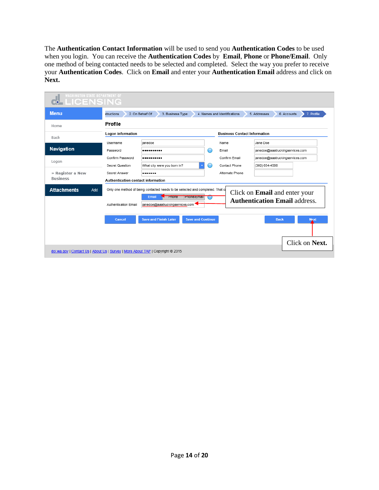The **Authentication Contact Information** will be used to send you **Authentication Codes** to be used when you login. You can receive the **Authentication Codes** by **Email**, **Phone** or **Phone/Email**. Only one method of being contacted needs to be selected and completed. Select the way you prefer to receive your **Authentication Codes**. Click on **Email** and enter your **Authentication Email** address and click on **Next.**

| <b>WASHINGTON STATE DEPARTMENT OF</b><br><b>MELICENSING</b>                     |                                                            |                                                                                                                                                                    |   |                                     |                                                                              |
|---------------------------------------------------------------------------------|------------------------------------------------------------|--------------------------------------------------------------------------------------------------------------------------------------------------------------------|---|-------------------------------------|------------------------------------------------------------------------------|
| <b>Menu</b>                                                                     | structions                                                 | 2. On Behalf Of<br>3. Business Type                                                                                                                                |   | 4. Names and Identifications        | 7. Profile<br>6. Accounts<br>5. Addresses                                    |
| Home                                                                            | Profile                                                    |                                                                                                                                                                    |   |                                     |                                                                              |
| Back                                                                            | Logon information                                          |                                                                                                                                                                    |   | <b>Business Contact Information</b> |                                                                              |
|                                                                                 | Username                                                   | ianedoe                                                                                                                                                            |   | Name                                | Jane Doe                                                                     |
| Navigation                                                                      | Password                                                   |                                                                                                                                                                    | ⊙ | Email                               | janedoe@aaatruckingservices.com                                              |
| Logon                                                                           | Confirm Password                                           |                                                                                                                                                                    |   | Confirm Email                       | janedoe@aaatruckingservices.com                                              |
|                                                                                 | Secret Question                                            | What city were you born in?                                                                                                                                        |   | Contact Phone                       | (360) 654-4566                                                               |
| » Register a New<br><b>Business</b>                                             | Secret Answer                                              |                                                                                                                                                                    |   | Alternate Phone                     |                                                                              |
| <b>Attachments</b><br>Add                                                       | Authentication contact information<br>Authentication Email | Only one method of being contacted needs to be selected and completed. That ca<br>Email<br><b>Express</b><br><b>Phone/Email</b><br>janedoe@aaatruckingservices.com |   |                                     | Click on <b>Email</b> and enter your<br><b>Authentication Email address.</b> |
|                                                                                 | Cancel                                                     | <b>Save and Finish Later</b><br><b>Save and Continue</b>                                                                                                           |   |                                     | <b>Back</b><br><b>Next</b><br>Click on Next.                                 |
| dol.wa.gov   Contact Us   About Us   Survey   More About TAP   Copyright @ 2015 |                                                            |                                                                                                                                                                    |   |                                     |                                                                              |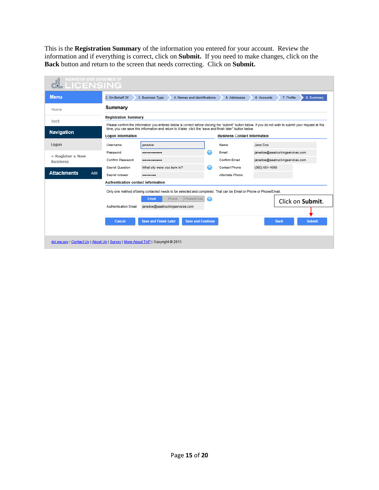This is the **Registration Summary** of the information you entered for your account. Review the information and if everything is correct, click on **Submit.** If you need to make changes, click on the **Back** button and return to the screen that needs correcting. Click on **Submit.**

| <b>WASHINGTON STATE DEPARTMENT OF</b><br>LICENSING                              |                                    |                                                                                                                                                                                                                                                                         |   |                                     |                |                                 |
|---------------------------------------------------------------------------------|------------------------------------|-------------------------------------------------------------------------------------------------------------------------------------------------------------------------------------------------------------------------------------------------------------------------|---|-------------------------------------|----------------|---------------------------------|
| <b>Menu</b>                                                                     | 2. On Behalf Of                    | 3. Business Type<br>4. Names and Identifications                                                                                                                                                                                                                        |   | 5. Addresses                        | 6. Accounts    | 7. Profile<br>8. Summary        |
| Home                                                                            | Summary                            |                                                                                                                                                                                                                                                                         |   |                                     |                |                                 |
| Back                                                                            | <b>Registration Summary</b>        |                                                                                                                                                                                                                                                                         |   |                                     |                |                                 |
| Navigation                                                                      | Logon information                  | Please confirm the information you entered below is correct before clicking the "submit" button below. If you do not wish to submit your request at this<br>time, you can save this information and return to it later, click the "save and finish later" button below. |   | <b>Business Contact Information</b> |                |                                 |
| Logon                                                                           | Username                           | janedoe                                                                                                                                                                                                                                                                 |   | Name                                | Jane Doe       |                                 |
| » Register a New                                                                | Password                           |                                                                                                                                                                                                                                                                         | ⊙ | Email                               |                | janedoe@aaatruckingservices.com |
| <b>Business</b>                                                                 | Confirm Password                   |                                                                                                                                                                                                                                                                         |   | Confirm Email                       |                | janedoe@aaatruckingservices.com |
|                                                                                 | Secret Question                    | What city were you born in?                                                                                                                                                                                                                                             |   | Contact Phone                       | (360) 654-4566 |                                 |
| <b>Attachments</b><br>Add                                                       | Secret Answer                      | -------                                                                                                                                                                                                                                                                 |   | Alternate Phone                     |                |                                 |
|                                                                                 | Authentication contact information |                                                                                                                                                                                                                                                                         |   |                                     |                |                                 |
|                                                                                 |                                    | Only one method of being contacted needs to be selected and completed. That can be Email or Phone or Phone/Email.                                                                                                                                                       |   |                                     |                |                                 |
|                                                                                 |                                    | Phone/Email<br>Phone<br>Email                                                                                                                                                                                                                                           |   |                                     |                | Click on Submit.                |
|                                                                                 | Authentication Email               | janedoe@aaatruckingservices.com                                                                                                                                                                                                                                         |   |                                     |                |                                 |
|                                                                                 |                                    |                                                                                                                                                                                                                                                                         |   |                                     |                |                                 |
|                                                                                 | Cancel                             | <b>Save and Finish Later</b><br><b>Save and Continue</b>                                                                                                                                                                                                                |   |                                     |                | <b>Submit</b><br><b>Back</b>    |
|                                                                                 |                                    |                                                                                                                                                                                                                                                                         |   |                                     |                |                                 |
| dol.wa.gov   Contact Us   About Us   Survey   More About TAP   Copyright @ 2015 |                                    |                                                                                                                                                                                                                                                                         |   |                                     |                |                                 |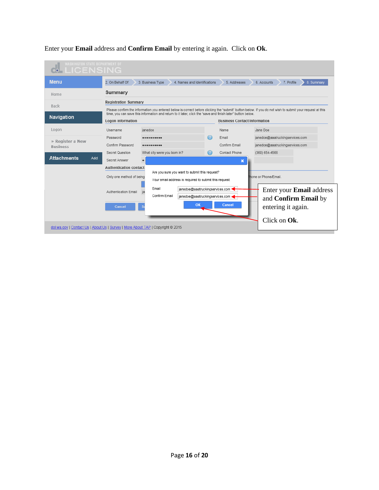

Enter your **Email** address and **Confirm Email** by entering it again. Click on **Ok**.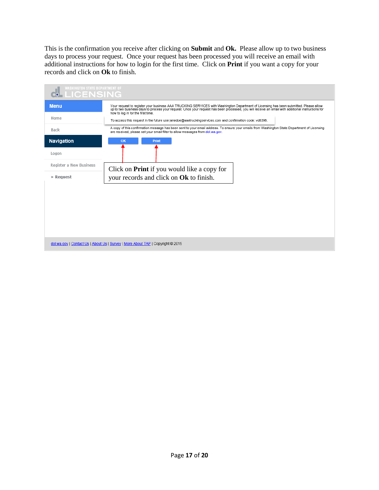This is the confirmation you receive after clicking on **Submit** and **Ok.** Please allow up to two business days to process your request. Once your request has been processed you will receive an email with additional instructions for how to login for the first time. Click on **Print** if you want a copy for your records and click on **Ok** to finish.

| <b>WASHINGTON STATE DEPARTMENT OF</b><br><b>LICENSING</b> |                                                                                                                                                                                                                                                                                                                                 |
|-----------------------------------------------------------|---------------------------------------------------------------------------------------------------------------------------------------------------------------------------------------------------------------------------------------------------------------------------------------------------------------------------------|
| <b>Menu</b>                                               | Your request to register your business AAA TRUCKING SERVICES with Washington Department of Licensing has been submitted. Please allow<br>up to two business days to process your request. Once your request has been processed, you will receive an email with additional instructions for<br>how to log in for the first time. |
| Home                                                      | To access this request in the future use janedoe@aaatruckingservices.com and confirmation code: vd6396.                                                                                                                                                                                                                         |
| Back                                                      | A copy of this confirmation message has been sent to your email address. To ensure your emails from Washington State Department of Licensing<br>are received, please set your email filter to allow messages from dol.wa.gov.                                                                                                   |
| <b>Navigation</b>                                         | OK<br>Print                                                                                                                                                                                                                                                                                                                     |
| Logon                                                     |                                                                                                                                                                                                                                                                                                                                 |
| Register a New Business                                   | Click on <b>Print</b> if you would like a copy for                                                                                                                                                                                                                                                                              |
| » Request                                                 | your records and click on Ok to finish.                                                                                                                                                                                                                                                                                         |
|                                                           |                                                                                                                                                                                                                                                                                                                                 |
|                                                           |                                                                                                                                                                                                                                                                                                                                 |
|                                                           |                                                                                                                                                                                                                                                                                                                                 |
|                                                           |                                                                                                                                                                                                                                                                                                                                 |
|                                                           |                                                                                                                                                                                                                                                                                                                                 |
|                                                           | dol.wa.gov   Contact Us   About Us   Survey   More About TAP   Copyright @ 2015                                                                                                                                                                                                                                                 |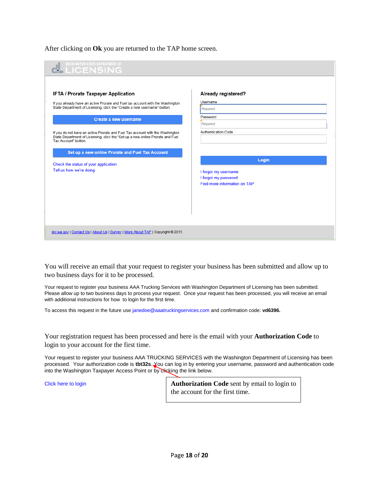After clicking on **Ok** you are returned to the TAP home screen.



You will receive an email that your request to register your business has been submitted and allow up to two business days for it to be processed.

Your request to register your business AAA Trucking Services with Washington Department of Licensing has been submitted. Please allow up to two business days to process your request. Once your request has been processed, you will receive an email with additional instructions for how to login for the first time.

To access this request in the future use [janedoe@aaatruckingservices.com](mailto:janedoe@aaatruckingservices.com) and confirmation code: **vd6396.**

Your registration request has been processed and here is the email with your **Authorization Code** to login to your account for the first time.

Your request to register your business AAA TRUCKING SERVICES with the Washington Department of Licensing has been processed. Your authorization code is **tbt32s**. You can log in by entering your username, password and authentication code into the Washington Taxpayer Access Point or by clicking the link below.

Click [here to login](https://wadol.gentax.com/WLT/TAP/?p=1177878528&q=H5pbduvODDep5m9lfffTxlpBqmkzjYmfwLwzLY%2f%2fEtRSHe2XSnb09c&Language=ENG) **Authorization Code** sent by email to login to the account for the first time.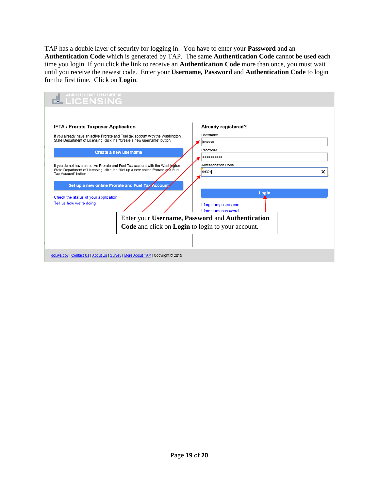TAP has a double layer of security for logging in. You have to enter your **Password** and an **Authentication Code** which is generated by TAP. The same **Authentication Code** cannot be used each time you login. If you click the link to receive an **Authentication Code** more than once, you must wait until you receive the newest code. Enter your **Username, Password** and **Authentication Code** to login for the first time. Click on **Login**.

| <b>WASHINGTON STATE DEPARTMENT OF</b><br><b>LICENSING</b>                                                                                                                                                                                                                                                                                                                                                                                                                                                                                                                                                |                                                                                                                                                                                                      |
|----------------------------------------------------------------------------------------------------------------------------------------------------------------------------------------------------------------------------------------------------------------------------------------------------------------------------------------------------------------------------------------------------------------------------------------------------------------------------------------------------------------------------------------------------------------------------------------------------------|------------------------------------------------------------------------------------------------------------------------------------------------------------------------------------------------------|
| <b>IFTA / Prorate Taxpayer Application</b><br>If you already have an active Prorate and Fuel tax account with the Washington<br>State Department of Licensing, click the "Create a new username" button.<br>Create a new username<br>If you do not have an active Prorate and Fuel Tax account with the Washipoton<br>State Department of Licensing, click the "Set up a new online Prorate and Fuel<br>Tax Account" button.<br>Set up a new online Prorate and Fuel Tax Account<br>Check the status of your application<br>Tell us how we're doing<br>Code and click on Login to login to your account. | Already registered?<br>Username<br>ianedoe<br>Password<br>Authentication Code<br>tbt32s<br>Login<br>I forgot my username<br>I forgot my password<br>Enter your Username, Password and Authentication |
| dol.wa.gov   Contact Us   About Us   Survey   More About TAP   Copyright @ 2015                                                                                                                                                                                                                                                                                                                                                                                                                                                                                                                          |                                                                                                                                                                                                      |